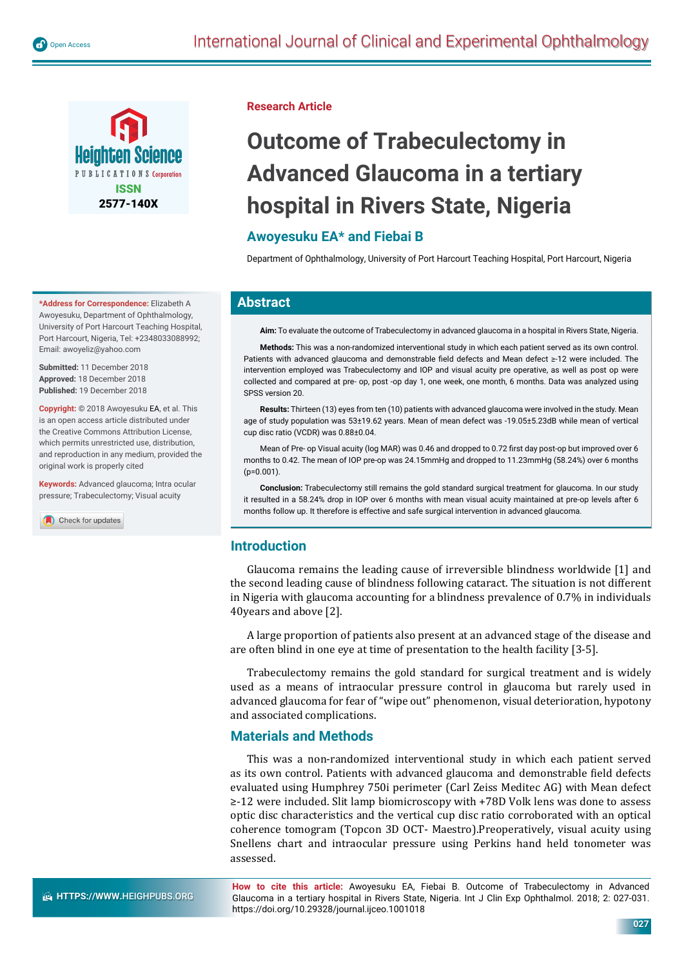

**\*Address for Correspondence:** Elizabeth A Awoyesuku, Department of Ophthalmology, University of Port Harcourt Teaching Hospital, Port Harcourt, Nigeria, Tel: +2348033088992; Email: awoyeliz@yahoo.com

**Submitted:** 11 December 2018 **Approved:** 18 December 2018 **Published:** 19 December 2018

**Copyright:** © 2018 Awoyesuku EA, et al. This is an open access article distributed under the Creative Commons Attribution License, which permits unrestricted use, distribution, and reproduction in any medium, provided the original work is properly cited

**Keywords:** Advanced glaucoma; Intra ocular pressure; Trabeculectomy; Visual acuity

Check for updates

#### **Research Article**

# **Outcome of Trabeculectomy in Advanced Glaucoma in a tertiary hospital in Rivers State, Nigeria**

# **Awoyesuku EA\* and Fiebai B**

Department of Ophthalmology, University of Port Harcourt Teaching Hospital, Port Harcourt, Nigeria

## **Abstract**

**Aim:** To evaluate the outcome of Trabeculectomy in advanced glaucoma in a hospital in Rivers State, Nigeria.

**Methods:** This was a non-randomized interventional study in which each patient served as its own control. Patients with advanced glaucoma and demonstrable field defects and Mean defect ≥-12 were included. The intervention employed was Trabeculectomy and IOP and visual acuity pre operative, as well as post op were collected and compared at pre- op, post -op day 1, one week, one month, 6 months. Data was analyzed using SPSS version 20.

**Results:** Thirteen (13) eyes from ten (10) patients with advanced glaucoma were involved in the study. Mean age of study population was 53±19.62 years. Mean of mean defect was -19.05±5.23dB while mean of vertical cup disc ratio (VCDR) was 0.88±0.04.

Mean of Pre- op Visual acuity (log MAR) was 0.46 and dropped to 0.72 first day post-op but improved over 6 months to 0.42. The mean of IOP pre-op was 24.15mmHg and dropped to 11.23mmHg (58.24%) over 6 months  $(p=0.001)$ 

**Conclusion:** Trabeculectomy still remains the gold standard surgical treatment for glaucoma. In our study it resulted in a 58.24% drop in IOP over 6 months with mean visual acuity maintained at pre-op levels after 6 months follow up. It therefore is effective and safe surgical intervention in advanced glaucoma.

# **Introduction**

Glaucoma remains the leading cause of irreversible blindness worldwide [1] and the second leading cause of blindness following cataract. The situation is not different in Nigeria with glaucoma accounting for a blindness prevalence of 0.7% in individuals 40years and above [2].

A large proportion of patients also present at an advanced stage of the disease and are often blind in one eye at time of presentation to the health facility [3-5].

Trabeculectomy remains the gold standard for surgical treatment and is widely used as a means of intraocular pressure control in glaucoma but rarely used in advanced glaucoma for fear of "wipe out" phenomenon, visual deterioration, hypotony and associated complications.

# **Materials and Methods**

This was a non-randomized interventional study in which each patient served as its own control. Patients with advanced glaucoma and demonstrable field defects evaluated using Humphrey 750i perimeter (Carl Zeiss Meditec AG) with Mean defect ≥-12 were included. Slit lamp biomicroscopy with +78D Volk lens was done to assess optic disc characteristics and the vertical cup disc ratio corroborated with an optical coherence tomogram (Topcon 3D OCT- Maestro).Preoperatively, visual acuity using Snellens chart and intraocular pressure using Perkins hand held tonometer was assessed.

**How to cite this article:** Awoyesuku EA, Fiebai B. Outcome of Trabeculectomy in Advanced Glaucoma in a tertiary hospital in Rivers State, Nigeria. Int J Clin Exp Ophthalmol. 2018; 2: 027-031. https://doi.org/10.29328/journal.ijceo.1001018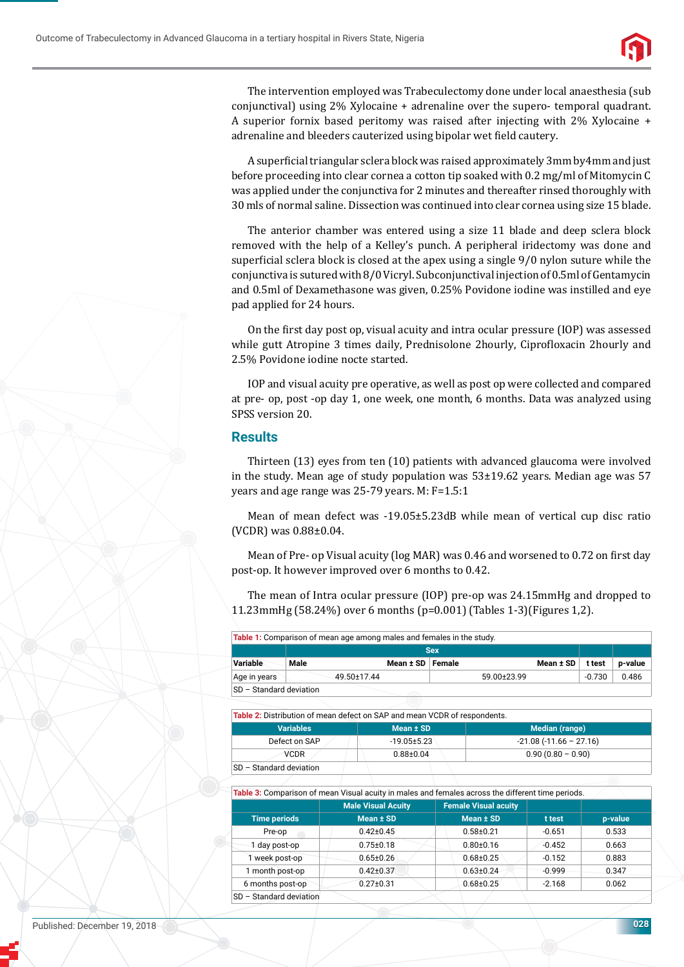

The intervention employed was Trabeculectomy done under local anaesthesia (sub conjunctival) using 2% Xylocaine + adrenaline over the supero- temporal quadrant. A superior fornix based peritomy was raised after injecting with 2% Xylocaine + adrenaline and bleeders cauterized using bipolar wet field cautery.

A superficial triangular sclera block was raised approximately 3mm by4mm and just before proceeding into clear cornea a cotton tip soaked with 0.2 mg/ml of Mitomycin C was applied under the conjunctiva for 2 minutes and thereafter rinsed thoroughly with 30 mls of normal saline. Dissection was continued into clear cornea using size 15 blade.

The anterior chamber was entered using a size 11 blade and deep sclera block removed with the help of a Kelley's punch. A peripheral iridectomy was done and superficial sclera block is closed at the apex using a single  $9/0$  nylon suture while the conjunctiva is sutured with 8/0 Vicryl. Subconjunctival injection of 0.5ml of Gentamycin and 0.5ml of Dexamethasone was given, 0.25% Povidone iodine was instilled and eye pad applied for 24 hours.

On the ϐirst day post op, visual acuity and intra ocular pressure (IOP) was assessed while gutt Atropine 3 times daily, Prednisolone 2hourly, Ciprofloxacin 2hourly and 2.5% Povidone iodine nocte started.

IOP and visual acuity pre operative, as well as post op were collected and compared at pre- op, post -op day 1, one week, one month, 6 months. Data was analyzed using SPSS version 20.

#### **Results**

Thirteen (13) eyes from ten (10) patients with advanced glaucoma were involved in the study. Mean age of study population was  $53\pm19.62$  years. Median age was 57 years and age range was 25-79 years. M: F=1.5:1

Mean of mean defect was -19.05±5.23dB while mean of vertical cup disc ratio (VCDR) was 0.88±0.04.

Mean of Pre- op Visual acuity (log MAR) was 0.46 and worsened to 0.72 on first day post-op. It however improved over 6 months to 0.42.

The mean of Intra ocular pressure (IOP) pre-op was 24.15mmHg and dropped to 11.23mmHg (58.24%) over 6 months (p=0.001) (Tables 1-3)(Figures 1,2).

**Table 1:** Comparison of mean age among males and females in the study.

|                         | <b>Sex</b>  |                    |             |               |        |         |
|-------------------------|-------------|--------------------|-------------|---------------|--------|---------|
| Variable                | Male        | Mean ± SD   Female |             | Mean $\pm$ SD | t test | p-value |
| Age in years            | 49.50±17.44 |                    | 59.00±23.99 |               | -0.730 | 0.486   |
| SD - Standard deviation |             |                    |             |               |        |         |

**Table 2:** Distribution of mean defect on SAP and mean VCDR of respondents.

| <b>Variables</b>        | Mean ± SD         | Median (range)           |  |  |  |  |  |
|-------------------------|-------------------|--------------------------|--|--|--|--|--|
| Defect on SAP           | $-19.05 \pm 5.23$ | $-21.08(-11.66 - 27.16)$ |  |  |  |  |  |
| <b>VCDR</b>             | $0.88 + 0.04$     | $0.90(0.80 - 0.90)$      |  |  |  |  |  |
| SD - Standard deviation |                   |                          |  |  |  |  |  |

**Table 3:** Comparison of mean Visual acuity in males and females across the different time periods.

|                             | <b>Male Visual Acuity</b> | <b>Female Visual acuity</b> |          |         |  |
|-----------------------------|---------------------------|-----------------------------|----------|---------|--|
| <b>Time periods</b>         | Mean $±$ SD               | Mean $±$ SD                 | t test   | p-value |  |
| Pre-op                      | $0.42 + 0.45$             | $0.58 + 0.21$               | $-0.651$ | 0.533   |  |
| 1 day post-op               | $0.75 \pm 0.18$           | $0.80 + 0.16$               | $-0.452$ | 0.663   |  |
| 1 week post-op              | $0.65 \pm 0.26$           | $0.68 + 0.25$               | $-0.152$ | 0.883   |  |
| 1 month post-op             | $0.42 \pm 0.37$           | $0.63 \pm 0.24$             | $-0.999$ | 0.347   |  |
| 6 months post-op            | $0.27 + 0.31$             | $0.68 + 0.25$               | $-2.168$ | 0.062   |  |
| - Standard deviation<br>SD. |                           |                             |          |         |  |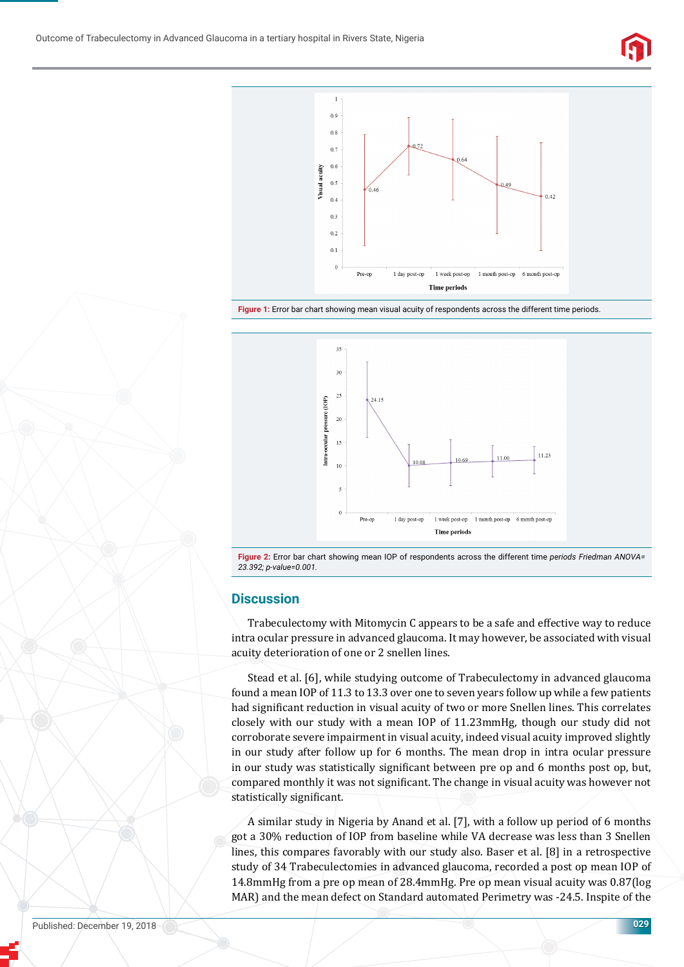



**Figure 1:** Error bar chart showing mean visual acuity of respondents across the different time periods.



**Figure 2:** Error bar chart showing mean IOP of respondents across the different time *periods Friedman ANOVA= 23.392; p-value=0.001.*

## **Discussion**

Trabeculectomy with Mitomycin C appears to be a safe and effective way to reduce intra ocular pressure in advanced glaucoma. It may however, be associated with visual acuity deterioration of one or 2 snellen lines.

Stead et al. [6], while studying outcome of Trabeculectomy in advanced glaucoma found a mean IOP of 11.3 to 13.3 over one to seven years follow up while a few patients had significant reduction in visual acuity of two or more Snellen lines. This correlates closely with our study with a mean IOP of 11.23mmHg, though our study did not corroborate severe impairment in visual acuity, indeed visual acuity improved slightly in our study after follow up for 6 months. The mean drop in intra ocular pressure in our study was statistically significant between pre op and 6 months post op, but, compared monthly it was not significant. The change in visual acuity was however not statistically significant.

A similar study in Nigeria by Anand et al. [7], with a follow up period of 6 months got a 30% reduction of IOP from baseline while VA decrease was less than 3 Snellen lines, this compares favorably with our study also. Baser et al. [8] in a retrospective study of 34 Trabeculectomies in advanced glaucoma, recorded a post op mean IOP of 14.8mmHg from a pre op mean of 28.4mmHg. Pre op mean visual acuity was 0.87(log MAR) and the mean defect on Standard automated Perimetry was -24.5. Inspite of the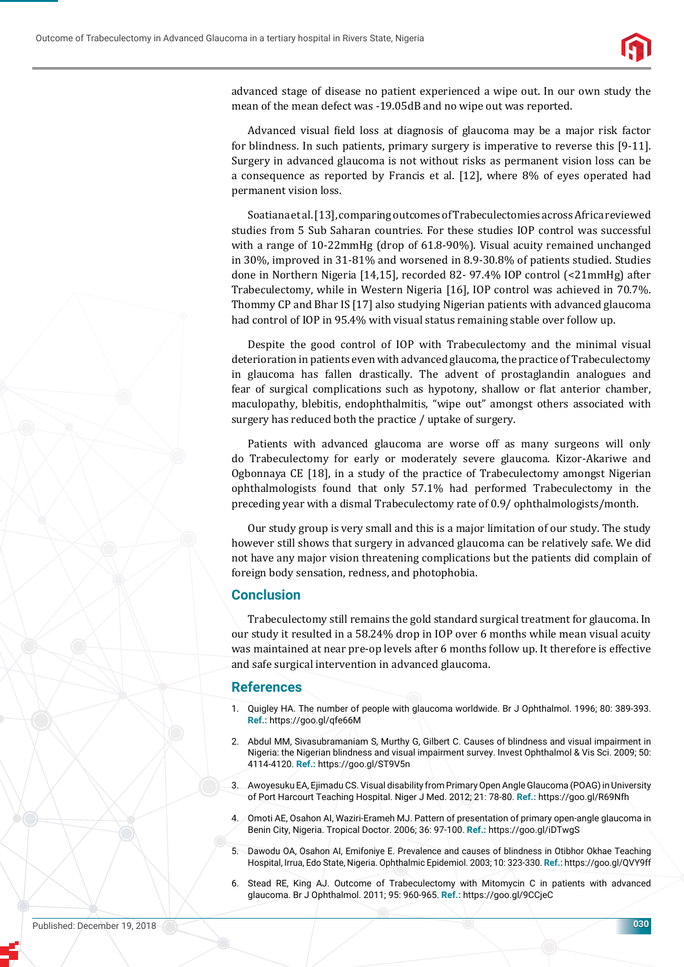

advanced stage of disease no patient experienced a wipe out. In our own study the mean of the mean defect was -19.05dB and no wipe out was reported.

Advanced visual field loss at diagnosis of glaucoma may be a major risk factor for blindness. In such patients, primary surgery is imperative to reverse this [9-11]. Surgery in advanced glaucoma is not without risks as permanent vision loss can be a consequence as reported by Francis et al. [12], where 8% of eyes operated had permanent vision loss.

Soatiana et al. [13], comparing outcomes of Trabeculectomies across Africa reviewed studies from 5 Sub Saharan countries. For these studies IOP control was successful with a range of 10-22mmHg (drop of 61.8-90%). Visual acuity remained unchanged in 30%, improved in 31-81% and worsened in 8.9-30.8% of patients studied. Studies done in Northern Nigeria [14,15], recorded 82- 97.4% IOP control (<21mmHg) after Trabeculectomy, while in Western Nigeria [16], IOP control was achieved in 70.7%. Thommy CP and Bhar IS [17] also studying Nigerian patients with advanced glaucoma had control of IOP in 95.4% with visual status remaining stable over follow up.

Despite the good control of IOP with Trabeculectomy and the minimal visual deterioration in patients even with advanced glaucoma, the practice of Trabeculectomy in glaucoma has fallen drastically. The advent of prostaglandin analogues and fear of surgical complications such as hypotony, shallow or flat anterior chamber, maculopathy, blebitis, endophthalmitis, "wipe out" amongst others associated with surgery has reduced both the practice / uptake of surgery.

Patients with advanced glaucoma are worse off as many surgeons will only do Trabeculectomy for early or moderately severe glaucoma. Kizor-Akariwe and Ogbonnaya CE [18], in a study of the practice of Trabeculectomy amongst Nigerian ophthalmologists found that only 57.1% had performed Trabeculectomy in the preceding year with a dismal Trabeculectomy rate of 0.9/ ophthalmologists/month.

Our study group is very small and this is a major limitation of our study. The study however still shows that surgery in advanced glaucoma can be relatively safe. We did not have any major vision threatening complications but the patients did complain of foreign body sensation, redness, and photophobia.

## **Conclusion**

Trabeculectomy still remains the gold standard surgical treatment for glaucoma. In our study it resulted in a 58.24% drop in IOP over 6 months while mean visual acuity was maintained at near pre-op levels after 6 months follow up. It therefore is effective and safe surgical intervention in advanced glaucoma.

#### **References**

- 1. Quigley HA. The number of people with glaucoma worldwide. Br J Ophthalmol. 1996; 80: 389-393. **Ref.:** https://goo.gl/qfe66M
- 2. Abdul MM, Sivasubramaniam S, Murthy G, Gilbert C. Causes of blindness and visual impairment in Nigeria: the Nigerian blindness and visual impairment survey. Invest Ophthalmol & Vis Sci. 2009; 50: 4114-4120. **Ref.:** https://goo.gl/ST9V5n
- 3. Awoyesuku EA, Ejimadu CS. Visual disability from Primary Open Angle Glaucoma (POAG) in University of Port Harcourt Teaching Hospital. Niger J Med. 2012; 21: 78-80. **Ref.:** https://goo.gl/R69Nfh
- 4. Omoti AE, Osahon AI, Waziri-Erameh MJ. Pattern of presentation of primary open-angle glaucoma in Benin City, Nigeria. Tropical Doctor. 2006; 36: 97-100. **Ref.:** https://goo.gl/iDTwgS
- 5. Dawodu OA, Osahon AI, Emifoniye E. Prevalence and causes of blindness in Otibhor Okhae Teaching Hospital, Irrua, Edo State, Nigeria. Ophthalmic Epidemiol. 2003; 10: 323-330. **Ref.:** https://goo.gl/QVY9ff
- 6. Stead RE, King AJ. Outcome of Trabeculectomy with Mitomycin C in patients with advanced glaucoma. Br J Ophthalmol. 2011; 95: 960-965. **Ref.:** https://goo.gl/9CCjeC